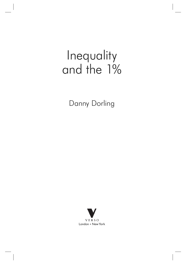## Inequality and the 1%

Danny Dorling

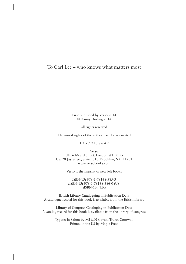## To Carl Lee – who knows what matters most

First published by Verso 2014 © Danny Dorling 2014

all rights reserved

The moral rights of the author have been asserted

1 3 5 7 9 10 8 6 4 2

**Verso**

UK: 6 Meard Street, London W1F 0EG US: 20 Jay Street, Suite 1010, Brooklyn, NY 11201 www.versobooks.com

Verso is the imprint of new left books

ISBN-13: 978-1-78168-585-3 eISBN-13: 978-1-78168-586-0 (US) eISBN-13: (UK)

**British Library Cataloguing in Publication Data** A catalogue record for this book is available from the British library

**Library of Congress Cataloging-in-Publication Data** A catalog record for this book is available from the library of congress

> Typeset in Sabon by MJ&N Gavan, Truro, Cornwall Printed in the US by Maple Press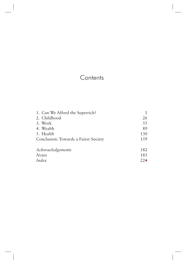## **Contents**

| 1. Can We Afford the Superrich?      |     |
|--------------------------------------|-----|
| 2. Childhood                         | 26  |
| 3. Work                              | 55  |
| 4. Wealth                            | 89  |
| 5. Health                            | 130 |
| Conclusion: Towards a Fairer Society | 159 |
|                                      |     |
| Acknowledgements                     | 182 |
| <b>Notes</b>                         | 185 |
| Index                                | 224 |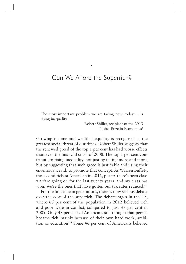## Can We Afford the Superrich?

1

The most important problem we are facing now, today … is rising inequality.

> Robert Shiller, recipient of the 2013 Nobel Prize in Economics<sup>1</sup>

Growing income and wealth inequality is recognised as the greatest social threat of our times. Robert Shiller suggests that the renewed greed of the top 1 per cent has had worse effects than even the fnancial crash of 2008. The top 1 per cent contribute to rising inequality, not just by taking more and more, but by suggesting that such greed is justifable and using their enormous wealth to promote that concept. As Warren Buffett, the second richest American in 2011, put it: 'there's been class warfare going on for the last twenty years, and my class has won. We're the ones that have gotten our tax rates reduced.'2

For the frst time in generations, there is now serious debate over the cost of the superrich. The debate rages in the US, where 66 per cent of the population in 2012 believed rich and poor were in confict, compared to just 47 per cent in 2009. Only 43 per cent of Americans still thought that people became rich 'mainly because of their own hard work, ambition or education'.3 Some 46 per cent of Americans believed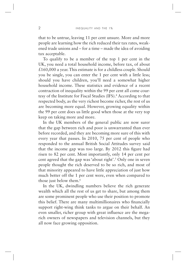that to be untrue, leaving 11 per cent unsure. More and more people are learning how the rich reduced their tax rates, weakened trade unions and – for a time – made the idea of avoiding tax acceptable.

To qualify to be a member of the top 1 per cent in the UK, you need a total household income, before tax, of about  $£160,000$  a year. This estimate is for a childless couple. Should you be single, you can enter the 1 per cent with a little less; should you have children, you'll need a somewhat higher household income. These statistics and evidence of a recent contraction of inequality within the 99 per cent all come courtesy of the Institute for Fiscal Studies (IFS).<sup>4</sup> According to that respected body, as the very richest become richer, the rest of us are becoming more equal. However, growing equality within the 99 per cent does us little good when those at the very top keep on taking more and more.

In the UK members of the general public are now surer that the gap between rich and poor is unwarranted than ever before recorded, and they are becoming more sure of this with every year that passes. In 2010, 75 per cent of people who responded to the annual British Social Attitudes survey said that the income gap was too large. By 2012 this fgure had risen to 82 per cent. Most importantly, only 14 per cent per cent agreed that the gap was 'about right'.5 Only one in seven people thought the rich deserved to be so rich, and most of that minority appeared to have little appreciation of just how much better off the 1 per cent were, even when compared to those just below them.<sup>6</sup>

In the UK, dwindling numbers believe the rich generate wealth which all the rest of us get to share, but among them are some prominent people who use their position to promote this belief. There are many multimillionaires who fnancially support right-wing think tanks to argue on their behalf. An even smaller, richer group with great infuence are the megarich owners of newspapers and television channels, but they all now face growing opposition.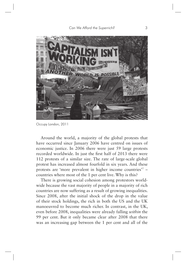

Occupy London, 2011

Around the world, a majority of the global protests that have occurred since January 2006 have centred on issues of economic justice. In 2006 there were just 59 large protests recorded worldwide. In just the frst half of 2013 there were 112 protests of a similar size. The rate of large-scale global protest has increased almost fourfold in six years. And these protests are 'more prevalent in higher income countries'7 – countries where most of the 1 per cent live. Why is this?

There is growing social cohesion among protestors worldwide because the vast majority of people in a majority of rich countries are now suffering as a result of growing inequalities. Since 2008, after the initial shock of the drop in the value of their stock holdings, the rich in both the US and the UK manoeuvred to become much richer. In contrast, in the UK, even before 2008, inequalities were already falling *within* the 99 per cent. But it only became clear after 2008 that there was an increasing gap between the 1 per cent and all of the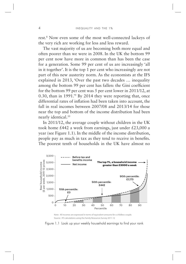rest.8 Now even some of the most well-connected lackeys of the very rich are working for less and less reward.

The vast majority of us are becoming both more equal and often poorer than we were in 2008. In the UK the bottom 99 per cent now have more in common than has been the case for a generation. Some 99 per cent of us are increasingly 'all in it together'. It is the top 1 per cent who increasingly are not part of this new austerity norm. As the economists at the IFS explained in 2013, 'Over the past two decades … inequality among the bottom 99 per cent has fallen: the Gini coefficient for the bottom 99 per cent was 5 per cent lower in 2011/12, at 0.30, than in 1991.'9 By 2014 they were reporting that, once differential rates of infation had been taken into account, the fall in real incomes between 2007/08 and 2013/14 for those near the top and bottom of the income distribution had been nearly identical.10

In 2011/12, the average couple without children in the UK took home £442 a week from earnings, just under £23,000 a year (see Figure 1.1). In the middle of the income distribution, people pay as much in tax as they tend to receive in benefits. The poorest tenth of households in the UK have almost no



Note: All incomes are expressed in terms of equivalent amounts for a childless couple. Source: IFS calculations using the Family Resources Survey 2011-12

Figure 1.1 Look up your weekly household earnings to find your rank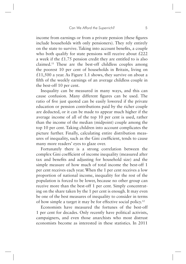income from earnings or from a private pension (these fgures include households with only pensioners). They rely entirely on the state to survive. Taking into account benefts, a couple who both qualify for state pensions will receive about £222 a week if the £1.75 pension credit they are entitled to is also claimed.11 These are the best-off childless couples among the poorest 10 per cent of households in Britain, living on £11,500 a year. As Figure 1.1 shows, they survive on about a ffth of the weekly earnings of an average childless couple in the best-off 10 per cent.

Inequality can be measured in many ways, and this can cause confusion. Many different fgures can be used. The ratio of fve just quoted can be easily lowered if the private education or pension contributions paid by the richer couple are deducted, or it can be made to appear much higher if the average income of all of the top 10 per cent is used, rather than the income of the median (midpoint) couple among the top 10 per cent. Taking children into account complicates the picture further. Finally, calculating entire distribution measures of inequality, such as the Gini coeffcient, tends to cause many more readers' eyes to glaze over.

Fortunately there is a strong correlation between the complex Gini coeffcient of income inequality (measured after tax and benefts and adjusting for household size) and the simple measure of how much of total income the best-off 1 per cent receives each year. When the 1 per cent receives a low proportion of national income, inequality for the rest of the population is forced to be lower, because no other group can receive more than the best-off 1 per cent. Simply concentrating on the share taken by the 1 per cent is enough. It may even be one of the best measures of inequality to consider in terms of how simple a target it may be for effective social policy.12

Economists have measured the fortunes of the best-off 1 per cent for decades. Only recently have political activists, campaigners, and even those anarchists who most distrust economists become as interested in these statistics. In 2011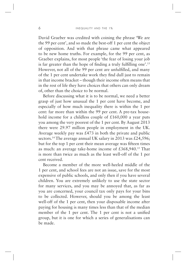David Graeber was credited with coining the phrase 'We are the 99 per cent', and so made the best-off 1 per cent the object of opposition. And with that phrase came what appeared to be new home truths. For example, for the 99 per cent, as Graeber explains, for most people 'the fear of losing your job is far greater than the hope of fnding a truly fulflling one'.13 However, not all of the 99 per cent are unfulflled, and many of the 1 per cent undertake work they fnd dull just to remain in that income bracket – though their income often means that in the rest of life they have choices that others can only dream of, other than the choice to be normal.

Before discussing what it is to be normal, we need a better grasp of just how unusual the 1 per cent have become, and especially of how much inequality there is within the 1 per cent: far more than within the 99 per cent. A pre-tax household income for a childless couple of £160,000 a year puts you among the very poorest of the 1 per cent. By August 2013 there were 29.97 million people in employment in the UK. Average weekly pay was  $£473$  in both the private and public sectors.<sup>14</sup> The average annual UK salary in 2013 was £24,596; but for the top 1 per cent their mean average was ffteen times as much: an average take-home income of  $£368,940$ <sup>15</sup> That is more than twice as much as the least well-off of the 1 per cent received.

Become a member of the more well-heeled middle of the 1 per cent, and school fees are not an issue, save for the most expensive of public schools, and only then if you have several children. You are extremely unlikely to use the state sector for many services, and you may be annoyed that, as far as you are concerned, your council tax only pays for your bins to be collected. However, should you be among the least well-off of the 1 per cent, then your disposable income after paying for housing is many times less than that of the median member of the 1 per cent. The 1 per cent is not a unifed group, but it is one for which a series of generalisations can be made.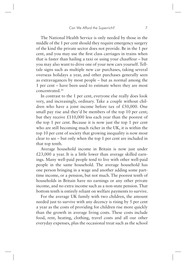The National Health Service is only needed by those in the middle of the 1 per cent should they require emergency surgery of the kind the private sector does not provide. Be in the 1 per cent, and you may use the frst class carriages in trains when that is faster than hailing a taxi or using your chauffeur – but you may also want to drive one of your new cars yourself. Telltale signs such as multiple new car purchases, taking several overseas holidays a year, and other purchases generally seen as extravagances by most people – but as normal among the 1 per cent – have been used to estimate where they are most concentrated.16

In contrast to the 1 per cent, everyone else really does look very, and increasingly, ordinary. Take a couple without children who have a joint income before tax of £50,000. One small pay rise and they'd be members of the top 10 per cent; but they receive £110,000 less each year than the poorest of the top 1 per cent. Because it is now just the top 1 per cent who are still becoming much richer in the UK, it is within the top 10 per cent of society that growing inequality is now most clear to see – but only when the top 1 per cent are included in that top tenth.

Average household income in Britain is now just under  $£23,000$  a year. It is a little lower than average skilled earnings. Many well-paid people tend to live with other well-paid people in the same household. The average household has one person bringing in a wage and another adding some parttime income, or a pension, but not much. The poorest tenth of households in Britain have no earnings or any other private income, and no extra income such as a non-state pension. That bottom tenth is entirely reliant on welfare payments to survive.

For the average UK family with two children, the amount needed just to survive with any decency is rising by 5 per cent a year as the costs of providing for children rise more quickly than the growth in average living costs. These costs include food, rent, heating, clothing, travel costs and all our other everyday expenses, plus the occasional treat such as the school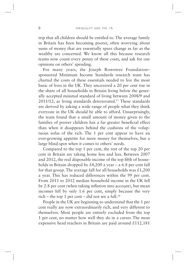trip that all children should be entitled to. The average family in Britain has been becoming poorer, often worrying about sums of money that are essentially spare change as far as the wealthy are concerned. We know all this because research teams now count every penny of these costs, and ask for our opinions on others' spending.

For many years, the Joseph Rowntree Foundation– sponsored Minimum Income Standards research team has charted the costs of these essentials needed to live the most basic of lives in the UK. They uncovered a 20 per cent rise in the share of all households in Britain living below the generally accepted minimal standard of living between 2008/9 and 2011/12, as living standards deteriorated.17 These standards are derived by asking a wide range of people what they think everyone in the UK should be able to afford. Unsurprisingly, the team found that a small amount of money given to the families of poorer children has a far greater benefcial effect than when it disappears behind the cushions of the voluptuous sofas of the rich. The 1 per cent appear to have an ever-growing appetite for more money for themselves, but a large blind-spot when it comes to others' needs.

Compared to the top 1 per cent, the rest of the top 20 per cent in Britain are taking home less and less. Between 2007 and 2012, the real disposable income of the top ffth of households in Britain dropped by  $\text{\pounds}4,200$  a year – a 6.8 per cent fall for that group. The average fall for all households was  $\pounds$ 1,200 a year. This has reduced differences within the 99 per cent. From 2011 to 2012 median household income in the UK fell by 2.8 per cent (when taking infation into account), but mean incomes fell by only 1.6 per cent, simply because the very rich – the top 1 per cent – did not see a fall.<sup>18</sup>

People in the UK are beginning to understand that the 1 per cent really are now extraordinarily rich, and very different to themselves. Most people are entirely excluded from the top 1 per cent, no matter how well they do in a career. The most expensive head teachers in Britain are paid around £112,181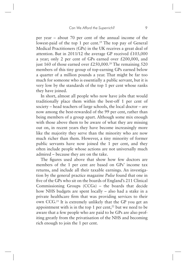per year – about 70 per cent of the annual income of the lowest-paid of the top 1 per cent.<sup>19</sup> The top pay of General Medical Practitioners (GPs) in the UK receives a great deal of attention. But in 2011/12 the average GP received  $£103,000$ a year; only 2 per cent of GPs earned over £200,000, and just 160 of those earned over  $£250,000.^{20}$  The remaining 520 members of this tiny group of top-earning GPs earned below a quarter of a million pounds a year. That might be far too much for someone who is essentially a public servant, but it is very low by the standards of the top 1 per cent whose ranks they have joined.

In short, almost all people who now have jobs that would traditionally place them within the best-off 1 per cent of society – head teachers of large schools, the local doctor – are now among the best-rewarded of the 99 per cent, rather than being members of a group apart. Although some mix enough with those above them to be aware of what they are missing out on, in recent years they have become increasingly more like the majority they serve than the minority who are now much richer than them. However, a tiny minority of former public servants have now joined the 1 per cent, and they often include people whose actions are not universally much admired – because they are on the take.

The fgures used above that show how few doctors are members of the 1 per cent are based on GPs' income tax returns, and include all their taxable earnings. An investigation by the general practice magazine *Pulse* found that one in fve of the GPs who sit on the boards of England's 211 Clinical Commissioning Groups (CCGs) – the boards that decide how NHS budgets are spent locally – also had a stake in a private healthcare frm that was providing services to their own CCG.21 It is extremely unlikely that the GP you get an appointment with is in the top 1 per cent, $^{22}$  but we need to be aware that a few people who are paid to be GPs are also profiting greatly from the privatisation of the NHS and becoming rich enough to join the 1 per cent.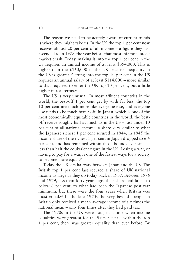The reason we need to be acutely aware of current trends is where they might take us. In the US the top 1 per cent now receives almost 20 per cent of all income – a fgure they last ascended to in 1928, the year before that most infamous stock market crash. Today, making it into the top 1 per cent in the US requires an annual income of at least \$394,000. This is higher than the £160,000 in the UK because inequality in the US is greater. Getting into the top 10 per cent in the US requires an annual salary of at least \$114,000 – more similar to that required to enter the UK top 10 per cent, but a little higher in real terms.<sup>23</sup>

The US is very unusual. In most affuent countries in the world, the best-off 1 per cent get by with far less, the top 10 per cent are much more like everyone else, and everyone else tends to be much better-off. In Japan, which is one of the most economically equitable countries in the world, the bestoff receive roughly half as much as in the US – just under 10 per cent of all national income, a share very similar to what the Japanese richest 1 per cent secured in 1944; in 1945 the income share of the richest 1 per cent in Japan dropped to 6.4 per cent, and has remained within those bounds ever since – less than half the equivalent fgure in the US. Losing a war, or having to pay for a war, is one of the fastest ways for a society to become more equal.<sup>24</sup>

Today the UK sits halfway between Japan and the US. The British top 1 per cent last secured a share of UK national income as large as they do today back in 1937. Between 1976 and 1979, less than forty years ago, their share had fallen to below 6 per cent, to what had been the Japanese post-war minimum; but these were the four years when Britain was most equal.25 In the late 1970s the very best-off people in Britain only received a mean average income of six times the national mean – only four times after they had paid tax.

The 1970s in the UK were not just a time when income equalities were greatest for the 99 per cent – within the top 1 per cent, there was greater equality than ever before. By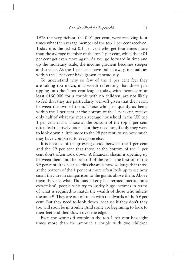1978 the very richest, the 0.01 per cent, were receiving four times what the average member of the top 1 per cent received. Today it is the richest 0.1 per cent who get four times more than the average member of the top 1 per cent, while the 0.01 per cent get even more again. As you go forward in time and up the monetary scale, the income gradient becomes steeper and steeper. As the 1 per cent have pulled away, inequalities within the 1 per cent have grown enormously.

To understand why so few of the 1 per cent feel they are taking too much, it is worth reiterating that those just tipping into the 1 per cent league today, with incomes of at least £160,000 for a couple with no children, are not likely to feel that they are particularly well-off given that they earn, between the two of them. Those who just qualify as being within the 1 per cent, at the bottom of the 1 per cent, receive only half of what the mean average household in the UK top 1 per cent earns. Those at the bottom of the top 1 per cent often feel relatively poor – but they need not, if only they were to look down a little more to the 99 per cent, to see how much they have compared to everyone else.

It is because of the growing divide between the 1 per cent and the 99 per cent that those at the bottom of the 1 per cent don't often look down. A fnancial chasm is opening up between them and the best-off of the rest – the best-off of the 99 per cent. It is because this chasm is now so large that those at the bottom of the 1 per cent more often look up to see how small they are in comparison to the giants above them. Above them they see what Thomas Piketty has termed 'meritocratic extremism', people who try to justify huge incomes in terms of what is required to match the wealth of those who inherit the most<sup>26</sup>. They are out of touch with the dwarfs of the 99 per cent. But they need to look down, because if they don't they too will soon be in trouble. And some are beginning to look to their feet and then down over the edge.

Even the worst-off couple in the top 1 per cent has eight times more than the amount a couple with two children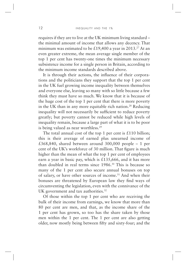requires if they are to live at the UK minimum living standard – the minimal amount of income that allows any decency. That minimum was estimated to be £19,400 a year in 2013.<sup>27</sup> At an even greater extreme, the mean average single member of the top 1 per cent has twenty-one times the minimum necessary subsistence income for a single person in Britain, according to the minimum income standards described above.

It is through their actions, the infuence of their corporations and the politicians they support that the top 1 per cent in the UK fuel growing income inequality between themselves and everyone else, leaving so many with so little because a few think they must have so much. We know that it is because of the huge cost of the top 1 per cent that there is more poverty in the UK than in any more equitable rich nation.<sup>28</sup> Reducing inequality will not necessarily be sufficient to reduce poverty greatly; but poverty cannot be reduced while high levels of inequality remain, because a large part of what it is to be poor is being valued as near worthless.<sup>29</sup>

The total annual cost of the top 1 per cent is  $£110$  billion; this is their average of earned plus unearned income of £368,840, shared between around 300,000 people – 1 per cent of the UK's workforce of 30 million. That fgure is much higher than the mean of what the top 1 per cent of employees earn a year in basic pay, which is  $£135,666$ , and it has more than doubled in real terms since 1986.30 This is because so many of the 1 per cent also secure annual bonuses on top of salary, or have other sources of income.31 And when their bonuses are threatened by European law they fnd ways of circumventing the legislation, even with the connivance of the UK government and tax authorities.<sup>32</sup>

Of those within the top 1 per cent who are receiving the bulk of their income from earnings, we know that more than 80 per cent are men, and that, as the income share of the 1 per cent has grown, so too has the share taken by those men within the 1 per cent. The 1 per cent are also getting older, now mostly being between ffty and sixty-four; and the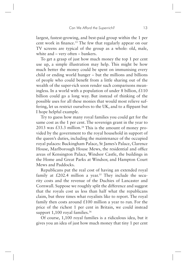largest, fastest-growing, and best-paid group within the 1 per cent work in fnance.33 The few that regularly appear on our TV screens are typical of the group as a whole: old, male, white and – very often – bankers.

To get a grasp of just how much money the top 1 per cent use up, a simple illustration may help. This might be how much better the money could be spent on immunising every child or ending world hunger – but the millions and billions of people who could beneft from a little sharing out of the wealth of the super-rich soon render such comparisons meaningless. In a world with a population of under 8 billion,  $\text{\pounds}110$ billion could go a long way. But instead of thinking of the possible uses for all these monies that would most relieve suffering, let us restrict ourselves to the UK, and to a fippant but I hope helpful example.

Try to guess how many royal families you could get for the same cost as the 1 per cent. The sovereign grant in the year to 2013 was  $\text{\pounds}33.3$  million.<sup>34</sup> This is the amount of money provided by the government to the royal household in support of the queen's duties, including the maintenance of the occupied royal palaces: Buckingham Palace, St James's Palace, Clarence House, Marlborough House Mews, the residential and office areas of Kensington Palace, Windsor Castle, the buildings in the Home and Great Parks at Windsor, and Hampton Court Mews and Paddocks.

Republicans put the real cost of having an extended royal family at  $£202.4$  million a year.<sup>35</sup> They include the security costs and the revenue of the Duchies of Lancaster and Cornwall. Suppose we roughly split the difference and suggest that the royals cost us less than half what the republicans claim, but three times what royalists like to report. The royal family then costs around  $£100$  million a year to run. For the price of the richest 1 per cent in Britain, we could instead support 1,100 royal families.<sup>36</sup>

Of course, 1,100 royal families is a ridiculous idea, but it gives you an idea of just how much money that tiny 1 per cent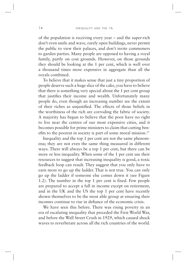of the population is receiving every year – and the super-rich don't even smile and wave, rarely open buildings, never permit the public to view their palaces, and don't invite commoners to garden parties. Many people are opposed to having a royal family, partly on cost grounds. However, on those grounds they should be looking at the 1 per cent, which is well over a thousand times more expensive in aggregate than all the royals combined.

To believe that it makes sense that just a tiny proportion of people deserve such a huge slice of the cake, you have to believe that there is something very special about the 1 per cent group that justifes their income and wealth. Unfortunately many people do, even though an increasing number see the extent of their riches as unjustifed. The effects of those beliefs in the worthiness of the rich are corroding the fabric of society. A majority has begun to believe that the poor have no right to live near the centres of our most expensive cities, and it becomes possible for prime ministers to claim that cutting benefts to the poorest in society is part of some moral mission.37

Inequality and the top 1 per cent are not the same phenomena; they are not even the same thing measured in different ways. There will always be a top 1 per cent, but there can be more or less inequality. When some of the 1 per cent use their resources to suggest that increasing inequality is good, a toxic feedback loop can result. They suggest that you only have to earn more to go up the ladder. That is not true. You can only go up the ladder if someone else comes down it (see Figure 1.2). The number in the top 1 per cent is fxed. Few people are prepared to accept a fall in income except on retirement, and in the UK and the US the top 1 per cent have recently shown themselves to be the most able group at ensuring their incomes continue to rise in defance of the economic crisis.

We have seen this before. There was rising poverty in an era of escalating inequality that preceded the First World War, and before the Wall Street Crash in 1929, which caused shock waves to reverberate across all the rich countries of the world.